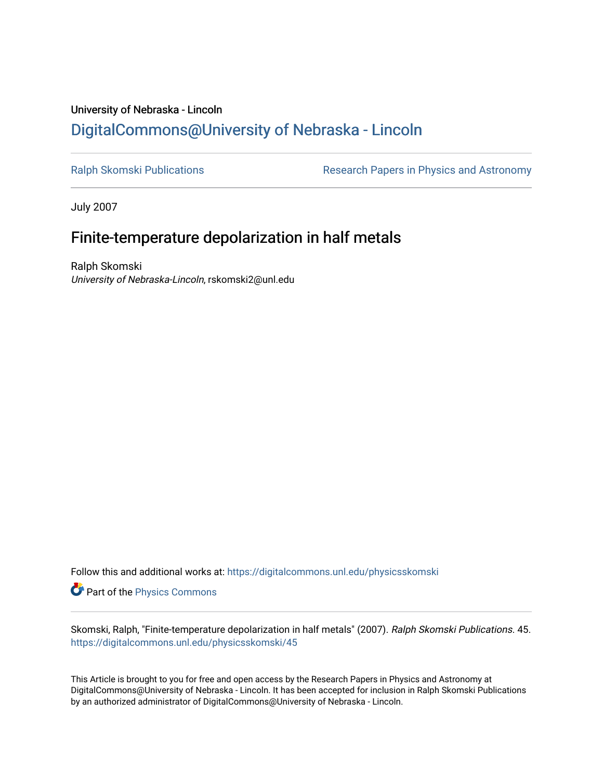## University of Nebraska - Lincoln [DigitalCommons@University of Nebraska - Lincoln](https://digitalcommons.unl.edu/)

[Ralph Skomski Publications](https://digitalcommons.unl.edu/physicsskomski) **Research Papers in Physics and Astronomy** 

July 2007

# Finite-temperature depolarization in half metals

Ralph Skomski University of Nebraska-Lincoln, rskomski2@unl.edu

Follow this and additional works at: [https://digitalcommons.unl.edu/physicsskomski](https://digitalcommons.unl.edu/physicsskomski?utm_source=digitalcommons.unl.edu%2Fphysicsskomski%2F45&utm_medium=PDF&utm_campaign=PDFCoverPages) 

Part of the [Physics Commons](http://network.bepress.com/hgg/discipline/193?utm_source=digitalcommons.unl.edu%2Fphysicsskomski%2F45&utm_medium=PDF&utm_campaign=PDFCoverPages)

Skomski, Ralph, "Finite-temperature depolarization in half metals" (2007). Ralph Skomski Publications. 45. [https://digitalcommons.unl.edu/physicsskomski/45](https://digitalcommons.unl.edu/physicsskomski/45?utm_source=digitalcommons.unl.edu%2Fphysicsskomski%2F45&utm_medium=PDF&utm_campaign=PDFCoverPages)

This Article is brought to you for free and open access by the Research Papers in Physics and Astronomy at DigitalCommons@University of Nebraska - Lincoln. It has been accepted for inclusion in Ralph Skomski Publications by an authorized administrator of DigitalCommons@University of Nebraska - Lincoln.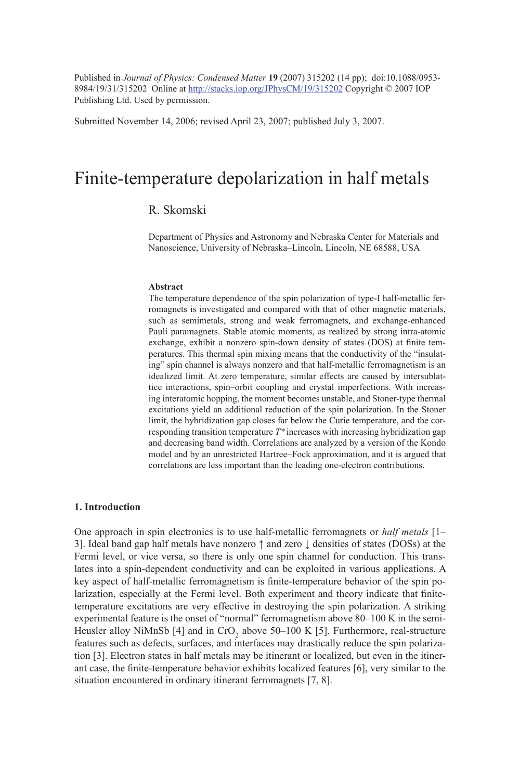Published in *Journal of Physics: Condensed Matter* **19** (2007) 315202 (14 pp); doi:10.1088/0953- 8984/19/31/315202 Online at http://stacks.iop.org/JPhysCM/19/315202 Copyright © 2007 IOP Publishing Ltd. Used by permission.

Submitted November 14, 2006; revised April 23, 2007; published July 3, 2007.

## Finite-temperature depolarization in half metals

## R. Skomski

Department of Physics and Astronomy and Nebraska Center for Materials and Nanoscience, University of Nebraska–Lincoln, Lincoln, NE 68588, USA

## **Abstract**

The temperature dependence of the spin polarization of type-I half-metallic ferromagnets is investigated and compared with that of other magnetic materials, such as semimetals, strong and weak ferromagnets, and exchange-enhanced Pauli paramagnets. Stable atomic moments, as realized by strong intra-atomic exchange, exhibit a nonzero spin-down density of states (DOS) at finite temperatures. This thermal spin mixing means that the conductivity of the "insulating" spin channel is always nonzero and that half-metallic ferromagnetism is an idealized limit. At zero temperature, similar effects are caused by intersublattice interactions, spin–orbit coupling and crystal imperfections. With increasing interatomic hopping, the moment becomes unstable, and Stoner-type thermal excitations yield an additional reduction of the spin polarization. In the Stoner limit, the hybridization gap closes far below the Curie temperature, and the corresponding transition temperature *T\** increases with increasing hybridization gap and decreasing band width. Correlations are analyzed by a version of the Kondo model and by an unrestricted Hartree–Fock approximation, and it is argued that correlations are less important than the leading one-electron contributions.

## **1. Introduction**

One approach in spin electronics is to use half-metallic ferromagnets or *half metals* [1– 3]. Ideal band gap half metals have nonzero ↑ and zero ↓ densities of states (DOSs) at the Fermi level, or vice versa, so there is only one spin channel for conduction. This translates into a spin-dependent conductivity and can be exploited in various applications. A key aspect of half-metallic ferromagnetism is finite-temperature behavior of the spin polarization, especially at the Fermi level. Both experiment and theory indicate that finitetemperature excitations are very effective in destroying the spin polarization. A striking experimental feature is the onset of "normal" ferromagnetism above 80-100 K in the semi-Heusler alloy NiMnSb  $[4]$  and in CrO<sub>2</sub> above 50–100 K  $[5]$ . Furthermore, real-structure features such as defects, surfaces, and interfaces may drastically reduce the spin polarization [3]. Electron states in half metals may be itinerant or localized, but even in the itinerant case, the finite-temperature behavior exhibits localized features [6], very similar to the situation encountered in ordinary itinerant ferromagnets [7, 8].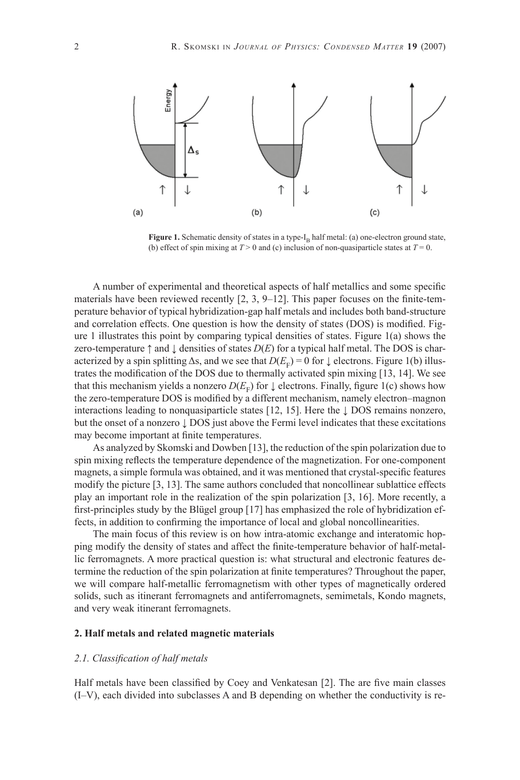

Figure 1. Schematic density of states in a type-I<sub>B</sub> half metal: (a) one-electron ground state, (b) effect of spin mixing at  $T > 0$  and (c) inclusion of non-quasiparticle states at  $T = 0$ .

A number of experimental and theoretical aspects of half metallics and some specific materials have been reviewed recently  $[2, 3, 9-12]$ . This paper focuses on the finite-temperature behavior of typical hybridization-gap half metals and includes both band-structure and correlation effects. One question is how the density of states (DOS) is modified. Figure 1 illustrates this point by comparing typical densities of states. Figure  $1(a)$  shows the zero-temperature  $\uparrow$  and  $\downarrow$  densities of states  $D(E)$  for a typical half metal. The DOS is characterized by a spin splitting  $\Delta s$ , and we see that  $D(E_F) = 0$  for  $\downarrow$  electrons. Figure 1(b) illustrates the modification of the DOS due to thermally activated spin mixing [13, 14]. We see that this mechanism yields a nonzero  $D(E<sub>F</sub>)$  for  $\downarrow$  electrons. Finally, figure 1(c) shows how the zero-temperature DOS is modified by a different mechanism, namely electron–magnon interactions leading to nonquasiparticle states [12, 15]. Here the ↓ DOS remains nonzero, but the onset of a nonzero ↓ DOS just above the Fermi level indicates that these excitations may become important at finite temperatures.

As analyzed by Skomski and Dowben [13], the reduction of the spin polarization due to spin mixing reflects the temperature dependence of the magnetization. For one-component magnets, a simple formula was obtained, and it was mentioned that crystal-specific features modify the picture [3, 13]. The same authors concluded that noncollinear sublattice effects play an important role in the realization of the spin polarization [3, 16]. More recently, a first-principles study by the Blügel group  $[17]$  has emphasized the role of hybridization effects, in addition to confirming the importance of local and global noncollinearities.

The main focus of this review is on how intra-atomic exchange and interatomic hopping modify the density of states and affect the finite-temperature behavior of half-metallic ferromagnets. A more practical question is: what structural and electronic features determine the reduction of the spin polarization at finite temperatures? Throughout the paper, we will compare half-metallic ferromagnetism with other types of magnetically ordered solids, such as itinerant ferromagnets and antiferromagnets, semimetals, Kondo magnets, and very weak itinerant ferromagnets.

## **2. Half metals and related magnetic materials**

## *2.1. Classifi cation of half metals*

Half metals have been classified by Coey and Venkatesan [2]. The are five main classes (I–V), each divided into subclasses A and B depending on whether the conductivity is re-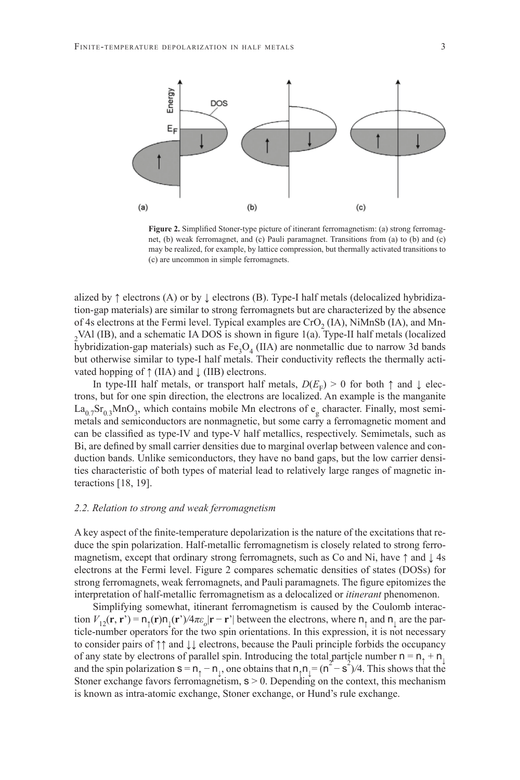

**Figure 2.** Simplified Stoner-type picture of itinerant ferromagnetism: (a) strong ferromagnet, (b) weak ferromagnet, and (c) Pauli paramagnet. Transitions from (a) to (b) and (c) may be realized, for example, by lattice compression, but thermally activated transitions to (c) are uncommon in simple ferromagnets.

alized by  $\uparrow$  electrons (A) or by  $\downarrow$  electrons (B). Type-I half metals (delocalized hybridization-gap materials) are similar to strong ferromagnets but are characterized by the absence of 4s electrons at the Fermi level. Typical examples are  $CrO<sub>2</sub>$  (IA), NiMnSb (IA), and Mn- $2$ VAl (IB), and a schematic IA DOS is shown in figure 1(a). Type-II half metals (localized hybridization-gap materials) such as  $Fe<sub>3</sub>O<sub>4</sub>$  (IIA) are nonmetallic due to narrow 3d bands but otherwise similar to type-I half metals. Their conductivity reflects the thermally activated hopping of  $\uparrow$  (IIA) and  $\downarrow$  (IIB) electrons.

In type-III half metals, or transport half metals,  $D(E_F) > 0$  for both  $\uparrow$  and  $\downarrow$  electrons, but for one spin direction, the electrons are localized. An example is the manganite  $La_{0.7}Sr_{0.3}MnO_3$ , which contains mobile Mn electrons of  $e_g$  character. Finally, most semimetals and semiconductors are nonmagnetic, but some carry a ferromagnetic moment and can be classified as type-IV and type-V half metallics, respectively. Semimetals, such as Bi, are defined by small carrier densities due to marginal overlap between valence and conduction bands. Unlike semiconductors, they have no band gaps, but the low carrier densities characteristic of both types of material lead to relatively large ranges of magnetic interactions [18, 19].

## *2.2. Relation to strong and weak ferromagnetism*

A key aspect of the finite-temperature depolarization is the nature of the excitations that reduce the spin polarization. Half-metallic ferromagnetism is closely related to strong ferromagnetism, except that ordinary strong ferromagnets, such as Co and Ni, have  $\uparrow$  and  $\downarrow$  4s electrons at the Fermi level. Figure 2 compares schematic densities of states (DOSs) for strong ferromagnets, weak ferromagnets, and Pauli paramagnets. The figure epitomizes the interpretation of half-metallic ferromagnetism as a delocalized or *itinerant* phenomenon.

Simplifying somewhat, itinerant ferromagnetism is caused by the Coulomb interaction  $V_{12}(\mathbf{r}, \mathbf{r}') = \mathbf{n}_{\uparrow}(\mathbf{r}) \mathbf{n}_{\perp}(\mathbf{r}')/4\pi\varepsilon_o |\mathbf{r} - \mathbf{r}'|$  between the electrons, where  $\mathbf{n}_{\uparrow}$  and  $\mathbf{n}_{\perp}$  are the particle-number operators for the two spin orientations. In this expression, it is not necessary to consider pairs of ↑↑ and ↓↓ electrons, because the Pauli principle forbids the occupancy of any state by electrons of parallel spin. Introducing the total particle number  $n = n_1 + n_1$ and the spin polarization  $s = n_1 - n_1$ , one obtains that  $n_1 n_1 = (n^2 - s^2)/4$ . This shows that the Stoner exchange favors ferromagnetism,  $s > 0$ . Depending on the context, this mechanism is known as intra-atomic exchange, Stoner exchange, or Hund's rule exchange.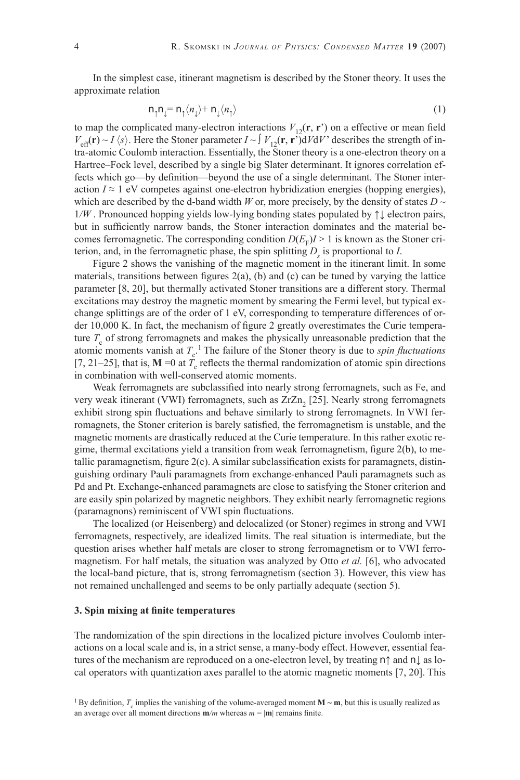In the simplest case, itinerant magnetism is described by the Stoner theory. It uses the approximate relation

$$
n_{\uparrow}n_{\downarrow} = n_{\uparrow} \langle n_{\downarrow} \rangle + n_{\downarrow} \langle n_{\uparrow} \rangle \tag{1}
$$

to map the complicated many-electron interactions  $V_{12}(\mathbf{r}, \mathbf{r}')$  on a effective or mean field  $V_{\text{eff}}(\mathbf{r}) \sim I \langle s \rangle$ . Here the Stoner parameter  $I \sim \int V_{12}(\mathbf{r}, \mathbf{r}) \, dV dV'$  describes the strength of intra-atomic Coulomb interaction. Essentially, the Stoner theory is a one-electron theory on a Hartree–Fock level, described by a single big Slater determinant. It ignores correlation effects which go—by definition—beyond the use of a single determinant. The Stoner interaction  $I \approx 1$  eV competes against one-electron hybridization energies (hopping energies), which are described by the d-band width *W* or, more precisely, by the density of states  $D \sim$ 1*/W* . Pronounced hopping yields low-lying bonding states populated by ↑↓ electron pairs, but in sufficiently narrow bands, the Stoner interaction dominates and the material becomes ferromagnetic. The corresponding condition  $D(E_F)I > 1$  is known as the Stoner criterion, and, in the ferromagnetic phase, the spin splitting  $D<sub>s</sub>$  is proportional to *I*.

Figure 2 shows the vanishing of the magnetic moment in the itinerant limit. In some materials, transitions between figures  $2(a)$ , (b) and (c) can be tuned by varying the lattice parameter [8, 20], but thermally activated Stoner transitions are a different story. Thermal excitations may destroy the magnetic moment by smearing the Fermi level, but typical exchange splittings are of the order of 1 eV, corresponding to temperature differences of order 10,000 K. In fact, the mechanism of figure 2 greatly overestimates the Curie temperature  $T_c$  of strong ferromagnets and makes the physically unreasonable prediction that the atomic moments vanish at  $T_c$ <sup>1</sup>. The failure of the Stoner theory is due to *spin fluctuations* [7, 21–25], that is,  $M = 0$  at  $T_c$  reflects the thermal randomization of atomic spin directions in combination with well-conserved atomic moments.

Weak ferromagnets are subclassified into nearly strong ferromagnets, such as Fe, and very weak itinerant (VWI) ferromagnets, such as  $ZrZn<sub>2</sub>$  [25]. Nearly strong ferromagnets exhibit strong spin fluctuations and behave similarly to strong ferromagnets. In VWI ferromagnets, the Stoner criterion is barely satisfied, the ferromagnetism is unstable, and the magnetic moments are drastically reduced at the Curie temperature. In this rather exotic regime, thermal excitations yield a transition from weak ferromagnetism, figure  $2(b)$ , to metallic paramagnetism, figure  $2(c)$ . A similar subclassification exists for paramagnets, distinguishing ordinary Pauli paramagnets from exchange-enhanced Pauli paramagnets such as Pd and Pt. Exchange-enhanced paramagnets are close to satisfying the Stoner criterion and are easily spin polarized by magnetic neighbors. They exhibit nearly ferromagnetic regions (paramagnons) reminiscent of VWI spin fluctuations.

The localized (or Heisenberg) and delocalized (or Stoner) regimes in strong and VWI ferromagnets, respectively, are idealized limits. The real situation is intermediate, but the question arises whether half metals are closer to strong ferromagnetism or to VWI ferromagnetism. For half metals, the situation was analyzed by Otto *et al.* [6], who advocated the local-band picture, that is, strong ferromagnetism (section 3). However, this view has not remained unchallenged and seems to be only partially adequate (section 5).

#### **3. Spin mixing at finite temperatures**

The randomization of the spin directions in the localized picture involves Coulomb interactions on a local scale and is, in a strict sense, a many-body effect. However, essential features of the mechanism are reproduced on a one-electron level, by treating n↑ and n↓ as local operators with quantization axes parallel to the atomic magnetic moments [7, 20]. This

<sup>&</sup>lt;sup>1</sup> By definition,  $T_c$  implies the vanishing of the volume-averaged moment **M** ~ **m**, but this is usually realized as an average over all moment directions  $\mathbf{m}/m$  whereas  $m = |\mathbf{m}|$  remains finite.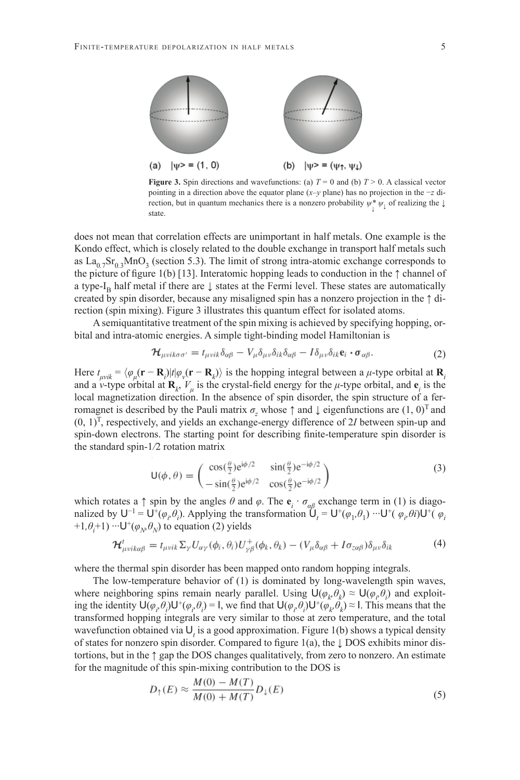

**Figure 3.** Spin directions and wavefunctions: (a)  $T = 0$  and (b)  $T > 0$ . A classical vector pointing in a direction above the equator plane (*x*–*y* plane) has no projection in the −*z* direction, but in quantum mechanics there is a nonzero probability  $\psi^* \psi_{\downarrow}$  of realizing the  $\downarrow$ state.

does not mean that correlation effects are unimportant in half metals. One example is the Kondo effect, which is closely related to the double exchange in transport half metals such as  $La_{0.7}Sr_{0.3}MnO_3$  (section 5.3). The limit of strong intra-atomic exchange corresponds to the picture of figure 1(b) [13]. Interatomic hopping leads to conduction in the  $\uparrow$  channel of a type-I<sub>B</sub> half metal if there are  $\downarrow$  states at the Fermi level. These states are automatically created by spin disorder, because any misaligned spin has a nonzero projection in the ↑ direction (spin mixing). Figure 3 illustrates this quantum effect for isolated atoms.

A semiquantitative treatment of the spin mixing is achieved by specifying hopping, orbital and intra-atomic energies. A simple tight-binding model Hamiltonian is

$$
\mathcal{H}_{\mu\nu i k \sigma \sigma'} = t_{\mu \nu i k} \delta_{\alpha \beta} - V_{\mu} \delta_{\mu \nu} \delta_{i k} \delta_{\alpha \beta} - I \delta_{\mu \nu} \delta_{i k} \mathbf{e}_i \cdot \boldsymbol{\sigma}_{\alpha \beta}.
$$
 (2)

Here  $t_{\mu\nu i k} = \langle \varphi_{\mu}(\mathbf{r} - \mathbf{R}_i) | t | \varphi_{\nu}(\mathbf{r} - \mathbf{R}_k) \rangle$  is the hopping integral between a  $\mu$ -type orbital at  $\mathbf{R}_i$ and a *ν*-type orbital at  $\mathbf{R}_k$ ,  $V_\mu$  is the crystal-field energy for the *μ*-type orbital, and  $\mathbf{e}_i$  is the local magnetization direction. In the absence of spin disorder, the spin structure of a ferromagnet is described by the Pauli matrix  $\sigma$ <sub>z</sub> whose  $\uparrow$  and  $\downarrow$  eigenfunctions are  $(1, 0)^T$  and  $(0, 1)^T$ , respectively, and yields an exchange-energy difference of 2*I* between spin-up and spin-down electrons. The starting point for describing finite-temperature spin disorder is the standard spin-1*/*2 rotation matrix

$$
\mathsf{U}(\phi,\theta) = \begin{pmatrix} \cos(\frac{\theta}{2})e^{i\phi/2} & \sin(\frac{\theta}{2})e^{-i\phi/2} \\ -\sin(\frac{\theta}{2})e^{i\phi/2} & \cos(\frac{\theta}{2})e^{-i\phi/2} \end{pmatrix}
$$
(3)

which rotates a  $\uparrow$  spin by the angles  $\theta$  and  $\varphi$ . The  $\mathbf{e}_i \cdot \sigma_{\alpha\beta}$  exchange term in (1) is diagonalized by  $U^{-1} = U^{+}(\varphi_{i}, \theta_{i})$ . Applying the transformation  $\tilde{U}_{t} = U^{+}(\varphi_{1}, \theta_{1}) \cdots U^{+}(\varphi_{i}, \theta_{i})U^{+}(\varphi_{i}, \theta_{i})$ +1, $\theta_i$ +1) ···**U**<sup>+</sup>( $\varphi_N$ , $\theta_N$ ) to equation (2) yields

$$
\mathcal{H}^{t}_{\mu\nu ik\alpha\beta} = t_{\mu\nu ik} \Sigma_{\gamma} U_{\alpha\gamma}(\phi_i, \theta_i) U^{+}_{\gamma\beta}(\phi_k, \theta_k) - (V_{\mu} \delta_{\alpha\beta} + I \sigma_{z\alpha\beta}) \delta_{\mu\nu} \delta_{ik} \tag{4}
$$

where the thermal spin disorder has been mapped onto random hopping integrals.

The low-temperature behavior of (1) is dominated by long-wavelength spin waves, where neighboring spins remain nearly parallel. Using  $U(\varphi_k, \theta_k) \approx U(\varphi_i, \theta_i)$  and exploiting the identity  $U(\varphi_i, \theta_i)U^+(\varphi_i, \theta_i) = I$ , we find that  $U(\varphi_i, \theta_i)U^+(\varphi_i, \theta_i) \approx I$ . This means that the transformed hopping integrals are very similar to those at zero temperature, and the total wavefunction obtained via U*<sup>t</sup>* is a good approximation. Figure 1(b) shows a typical density of states for nonzero spin disorder. Compared to figure 1(a), the  $\downarrow$  DOS exhibits minor distortions, but in the ↑ gap the DOS changes qualitatively, from zero to nonzero. An estimate for the magnitude of this spin-mixing contribution to the DOS is

$$
D_{\uparrow}(E) \approx \frac{M(0) - M(T)}{M(0) + M(T)} D_{\downarrow}(E)
$$
\n<sup>(5)</sup>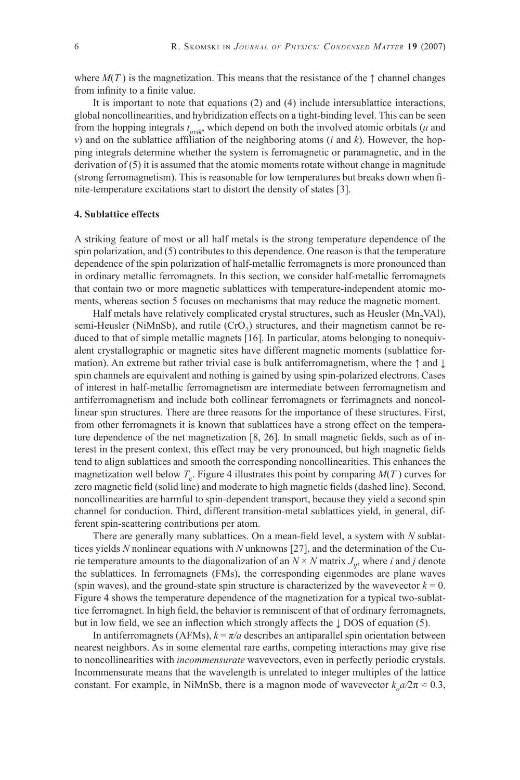where  $M(T)$  is the magnetization. This means that the resistance of the  $\uparrow$  channel changes from infinity to a finite value.

It is important to note that equations (2) and (4) include intersublattice interactions, global noncollinearities, and hybridization effects on a tight-binding level. This can be seen from the hopping integrals  $t_{\mu\nu i k}$ , which depend on both the involved atomic orbitals ( $\mu$  and *ν*) and on the sublattice affiliation of the neighboring atoms (*i* and *k*). However, the hopping integrals determine whether the system is ferromagnetic or paramagnetic, and in the derivation of  $(5)$  it is assumed that the atomic moments rotate without change in magnitude (strong ferromagnetism). This is reasonable for low temperatures but breaks down when finite-temperature excitations start to distort the density of states [3].

## **4. Sublattice effects**

A striking feature of most or all half metals is the strong temperature dependence of the spin polarization, and (5) contributes to this dependence. One reason is that the temperature dependence of the spin polarization of half-metallic ferromagnets is more pronounced than in ordinary metallic ferromagnets. In this section, we consider half-metallic ferromagnets that contain two or more magnetic sublattices with temperature-independent atomic moments, whereas section 5 focuses on mechanisms that may reduce the magnetic moment.

Half metals have relatively complicated crystal structures, such as Heusler (Mn<sub>2</sub>VAl), semi-Heusler (NiMnSb), and rutile  $(CrO<sub>2</sub>)$  structures, and their magnetism cannot be reduced to that of simple metallic magnets [16]. In particular, atoms belonging to nonequivalent crystallographic or magnetic sites have different magnetic moments (sublattice formation). An extreme but rather trivial case is bulk antiferromagnetism, where the  $\uparrow$  and  $\downarrow$ spin channels are equivalent and nothing is gained by using spin-polarized electrons. Cases of interest in half-metallic ferromagnetism are intermediate between ferromagnetism and antiferromagnetism and include both collinear ferromagnets or ferrimagnets and noncollinear spin structures. There are three reasons for the importance of these structures. First, from other ferromagnets it is known that sublattices have a strong effect on the temperature dependence of the net magnetization  $[8, 26]$ . In small magnetic fields, such as of interest in the present context, this effect may be very pronounced, but high magnetic fields tend to align sublattices and smooth the corresponding noncollinearities. This enhances the magnetization well below  $T_c$ . Figure 4 illustrates this point by comparing  $M(T)$  curves for zero magnetic field (solid line) and moderate to high magnetic fields (dashed line). Second, noncollinearities are harmful to spin-dependent transport, because they yield a second spin channel for conduction. Third, different transition-metal sublattices yield, in general, different spin-scattering contributions per atom.

There are generally many sublattices. On a mean-field level, a system with N sublattices yields *N* nonlinear equations with *N* unknowns [27], and the determination of the Curie temperature amounts to the diagonalization of an  $N \times N$  matrix  $J_{ij}$ , where *i* and *j* denote the sublattices. In ferromagnets (FMs), the corresponding eigenmodes are plane waves (spin waves), and the ground-state spin structure is characterized by the wavevector  $k = 0$ . Figure 4 shows the temperature dependence of the magnetization for a typical two-sublattice ferromagnet. In high field, the behavior is reminiscent of that of ordinary ferromagnets, but in low field, we see an inflection which strongly affects the  $\downarrow$  DOS of equation (5).

In antiferromagnets (AFMs),  $k = \pi/a$  describes an antiparallel spin orientation between nearest neighbors. As in some elemental rare earths, competing interactions may give rise to noncollinearities with *incommensurate* wavevectors, even in perfectly periodic crystals. Incommensurate means that the wavelength is unrelated to integer multiples of the lattice constant. For example, in NiMnSb, there is a magnon mode of wavevector  $k_o a / 2\pi \approx 0.3$ ,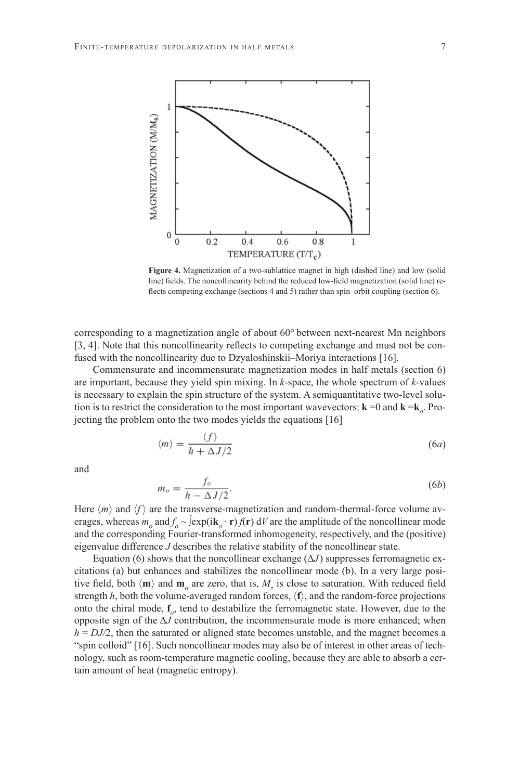

**Figure 4.** Magnetization of a two-sublattice magnet in high (dashed line) and low (solid line) fields. The noncollinearity behind the reduced low-field magnetization (solid line) reflects competing exchange (sections 4 and 5) rather than spin–orbit coupling (section 6).

corresponding to a magnetization angle of about 60° between next-nearest Mn neighbors [3, 4]. Note that this noncollinearity reflects to competing exchange and must not be confused with the noncollinearity due to Dzyaloshinskii–Moriya interactions [16].

Commensurate and incommensurate magnetization modes in half metals (section 6) are important, because they yield spin mixing. In *k*-space, the whole spectrum of *k*-values is necessary to explain the spin structure of the system. A semiquantitative two-level solution is to restrict the consideration to the most important wavevectors:  $\mathbf{k} = 0$  and  $\mathbf{k} = \mathbf{k}_o$ . Projecting the problem onto the two modes yields the equations [16]

$$
\langle m \rangle = \frac{\langle f \rangle}{h + \Delta J/2} \tag{6a}
$$

and

$$
m_o = \frac{f_o}{h - \Delta J/2}.\tag{6b}
$$

Here  $\langle m \rangle$  and  $\langle f \rangle$  are the transverse-magnetization and random-thermal-force volume averages, whereas  $m_o$  and  $f_o \sim \text{exp}(i\mathbf{k}_o \cdot \mathbf{r}) f(\mathbf{r}) dV$  are the amplitude of the noncollinear mode and the corresponding Fourier-transformed inhomogeneity, respectively, and the (positive) eigenvalue difference *J* describes the relative stability of the noncollinear state.

Equation (6) shows that the noncollinear exchange  $(\Delta J)$  suppresses ferromagnetic excitations (a) but enhances and stabilizes the noncollinear mode (b). In a very large positive field, both  $\langle \mathbf{m} \rangle$  and  $\mathbf{m}_o$  are zero, that is,  $M_z$  is close to saturation. With reduced field strength  $h$ , both the volume-averaged random forces,  $\langle f \rangle$ , and the random-force projections onto the chiral mode, **f***o*, tend to destabilize the ferromagnetic state. However, due to the opposite sign of the  $\Delta J$  contribution, the incommensurate mode is more enhanced; when  $h = DJ/2$ , then the saturated or aligned state becomes unstable, and the magnet becomes a "spin colloid" [16]. Such noncollinear modes may also be of interest in other areas of technology, such as room-temperature magnetic cooling, because they are able to absorb a certain amount of heat (magnetic entropy).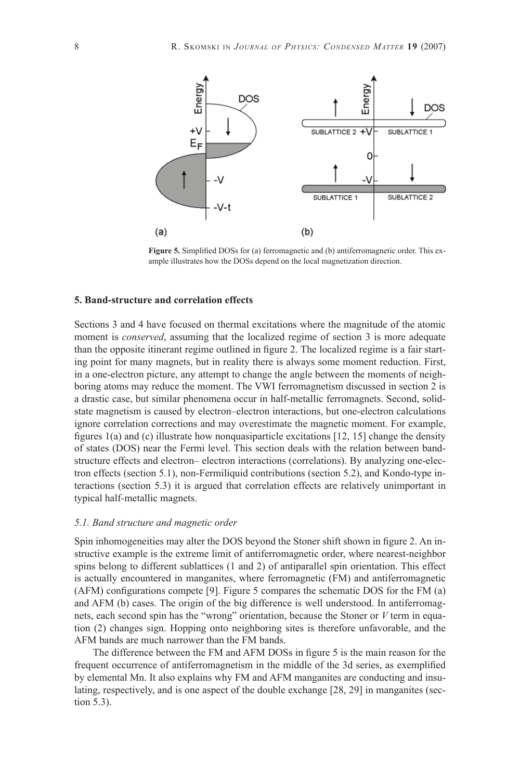

Figure 5. Simplified DOSs for (a) ferromagnetic and (b) antiferromagnetic order. This example illustrates how the DOSs depend on the local magnetization direction.

## **5. Band-structure and correlation effects**

Sections 3 and 4 have focused on thermal excitations where the magnitude of the atomic moment is *conserved*, assuming that the localized regime of section 3 is more adequate than the opposite itinerant regime outlined in figure 2. The localized regime is a fair starting point for many magnets, but in reality there is always some moment reduction. First, in a one-electron picture, any attempt to change the angle between the moments of neighboring atoms may reduce the moment. The VWI ferromagnetism discussed in section 2 is a drastic case, but similar phenomena occur in half-metallic ferromagnets. Second, solidstate magnetism is caused by electron–electron interactions, but one-electron calculations ignore correlation corrections and may overestimate the magnetic moment. For example, figures  $1(a)$  and (c) illustrate how nonquasiparticle excitations  $[12, 15]$  change the density of states (DOS) near the Fermi level. This section deals with the relation between bandstructure effects and electron– electron interactions (correlations). By analyzing one-electron effects (section 5.1), non-Fermiliquid contributions (section 5.2), and Kondo-type interactions (section 5.3) it is argued that correlation effects are relatively unimportant in typical half-metallic magnets.

#### *5.1. Band structure and magnetic order*

Spin inhomogeneities may alter the DOS beyond the Stoner shift shown in figure 2. An instructive example is the extreme limit of antiferromagnetic order, where nearest-neighbor spins belong to different sublattices (1 and 2) of antiparallel spin orientation. This effect is actually encountered in manganites, where ferromagnetic (FM) and antiferromagnetic (AFM) configurations compete [9]. Figure 5 compares the schematic DOS for the FM  $(a)$ and AFM (b) cases. The origin of the big difference is well understood. In antiferromagnets, each second spin has the "wrong" orientation, because the Stoner or *V* term in equation (2) changes sign. Hopping onto neighboring sites is therefore unfavorable, and the AFM bands are much narrower than the FM bands.

The difference between the FM and AFM DOSs in figure 5 is the main reason for the frequent occurrence of antiferromagnetism in the middle of the 3d series, as exemplified by elemental Mn. It also explains why FM and AFM manganites are conducting and insulating, respectively, and is one aspect of the double exchange [28, 29] in manganites (section 5.3).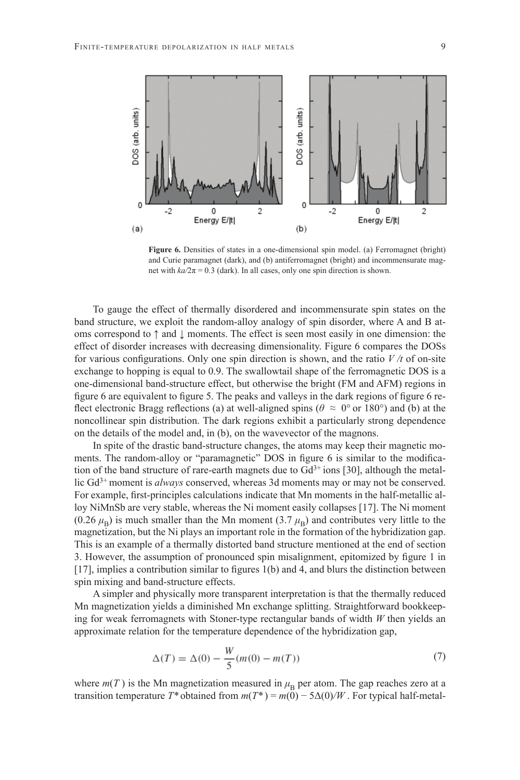

Figure 6. Densities of states in a one-dimensional spin model. (a) Ferromagnet (bright) and Curie paramagnet (dark), and (b) antiferromagnet (bright) and incommensurate magnet with  $k\alpha/2\pi = 0.3$  (dark). In all cases, only one spin direction is shown.

To gauge the effect of thermally disordered and incommensurate spin states on the band structure, we exploit the random-alloy analogy of spin disorder, where A and B atoms correspond to ↑ and ↓ moments. The effect is seen most easily in one dimension: the effect of disorder increases with decreasing dimensionality. Figure 6 compares the DOSs for various configurations. Only one spin direction is shown, and the ratio  $V/t$  of on-site exchange to hopping is equal to 0.9. The swallowtail shape of the ferromagnetic DOS is a one-dimensional band-structure effect, but otherwise the bright (FM and AFM) regions in figure 6 are equivalent to figure 5. The peaks and valleys in the dark regions of figure 6 reflect electronic Bragg reflections (a) at well-aligned spins ( $\theta \approx 0^{\circ}$  or 180°) and (b) at the noncollinear spin distribution. The dark regions exhibit a particularly strong dependence on the details of the model and, in (b), on the wavevector of the magnons.

In spite of the drastic band-structure changes, the atoms may keep their magnetic moments. The random-alloy or "paramagnetic" DOS in figure 6 is similar to the modification of the band structure of rare-earth magnets due to  $Gd^{3+}$  ions [30], although the metallic Gd3+ moment is *always* conserved, whereas 3d moments may or may not be conserved. For example, first-principles calculations indicate that Mn moments in the half-metallic alloy NiMnSb are very stable, whereas the Ni moment easily collapses [17]. The Ni moment (0.26  $\mu_B$ ) is much smaller than the Mn moment (3.7  $\mu_B$ ) and contributes very little to the magnetization, but the Ni plays an important role in the formation of the hybridization gap. This is an example of a thermally distorted band structure mentioned at the end of section 3. However, the assumption of pronounced spin misalignment, epitomized by figure 1 in  $[17]$ , implies a contribution similar to figures 1(b) and 4, and blurs the distinction between spin mixing and band-structure effects.

A simpler and physically more transparent interpretation is that the thermally reduced Mn magnetization yields a diminished Mn exchange splitting. Straightforward bookkeeping for weak ferromagnets with Stoner-type rectangular bands of width *W* then yields an approximate relation for the temperature dependence of the hybridization gap,

$$
\Delta(T) = \Delta(0) - \frac{W}{5}(m(0) - m(T))
$$
\n(7)

where  $m(T)$  is the Mn magnetization measured in  $\mu_B$  per atom. The gap reaches zero at a transition temperature  $T^*$  obtained from  $m(T^*) = m(\tilde{0}) - 5\Delta(0)/W$ . For typical half-metal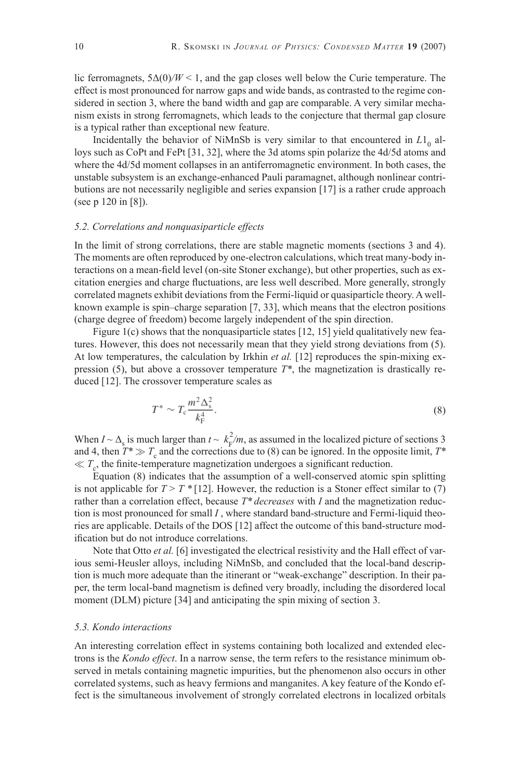lic ferromagnets,  $5\Delta(0)/W < 1$ , and the gap closes well below the Curie temperature. The effect is most pronounced for narrow gaps and wide bands, as contrasted to the regime considered in section 3, where the band width and gap are comparable. A very similar mechanism exists in strong ferromagnets, which leads to the conjecture that thermal gap closure is a typical rather than exceptional new feature.

Incidentally the behavior of NiMnSb is very similar to that encountered in  $L1_0$  alloys such as CoPt and FePt [31, 32], where the 3d atoms spin polarize the 4d/5d atoms and where the 4d/5d moment collapses in an antiferromagnetic environment. In both cases, the unstable subsystem is an exchange-enhanced Pauli paramagnet, although nonlinear contributions are not necessarily negligible and series expansion [17] is a rather crude approach (see p 120 in [8]).

### *5.2. Correlations and nonquasiparticle effects*

In the limit of strong correlations, there are stable magnetic moments (sections 3 and 4). The moments are often reproduced by one-electron calculations, which treat many-body interactions on a mean-field level (on-site Stoner exchange), but other properties, such as excitation energies and charge fluctuations, are less well described. More generally, strongly correlated magnets exhibit deviations from the Fermi-liquid or quasiparticle theory. A wellknown example is spin–charge separation [7, 33], which means that the electron positions (charge degree of freedom) become largely independent of the spin direction.

Figure 1(c) shows that the nonquasiparticle states  $[12, 15]$  yield qualitatively new features. However, this does not necessarily mean that they yield strong deviations from (5). At low temperatures, the calculation by Irkhin *et al.* [12] reproduces the spin-mixing expression (5), but above a crossover temperature *T\**, the magnetization is drastically reduced [12]. The crossover temperature scales as

$$
T^* \sim T_c \frac{m^2 \Delta_s^2}{k_{\rm F}^4}.
$$
\n<sup>(8)</sup>

When  $I \sim \Delta_s$  is much larger than  $t \sim k_F^2/m$ , as assumed in the localized picture of sections 3 and 4, then  $T^* \gg T_c$  and the corrections due to (8) can be ignored. In the opposite limit,  $T^*$  $\ll T_c$ , the finite-temperature magnetization undergoes a significant reduction.

Equation (8) indicates that the assumption of a well-conserved atomic spin splitting is not applicable for  $T > T^* [12]$ . However, the reduction is a Stoner effect similar to (7) rather than a correlation effect, because *T\* decreases* with *I* and the magnetization reduction is most pronounced for small *I* , where standard band-structure and Fermi-liquid theories are applicable. Details of the DOS [12] affect the outcome of this band-structure modification but do not introduce correlations.

Note that Otto *et al.* [6] investigated the electrical resistivity and the Hall effect of various semi-Heusler alloys, including NiMnSb, and concluded that the local-band description is much more adequate than the itinerant or "weak-exchange" description. In their paper, the term local-band magnetism is defined very broadly, including the disordered local moment (DLM) picture [34] and anticipating the spin mixing of section 3.

### *5.3. Kondo interactions*

An interesting correlation effect in systems containing both localized and extended electrons is the *Kondo effect*. In a narrow sense, the term refers to the resistance minimum observed in metals containing magnetic impurities, but the phenomenon also occurs in other correlated systems, such as heavy fermions and manganites. A key feature of the Kondo effect is the simultaneous involvement of strongly correlated electrons in localized orbitals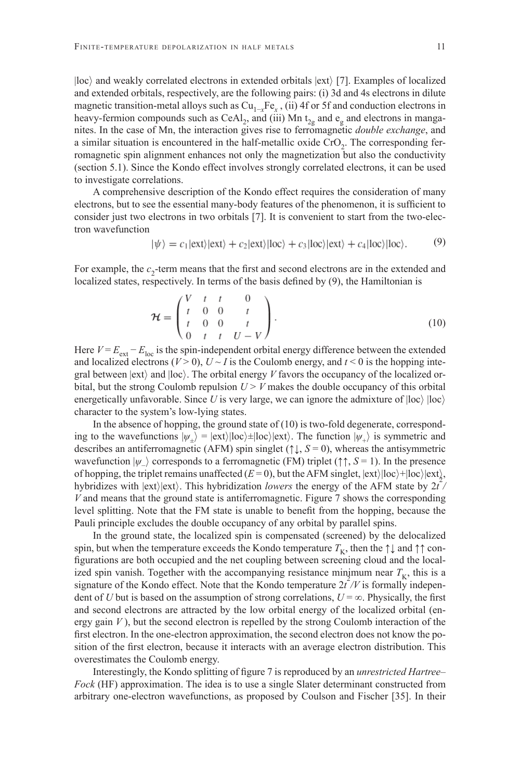|loc〉 and weakly correlated electrons in extended orbitals |ext〉 [7]. Examples of localized and extended orbitals, respectively, are the following pairs: (i) 3d and 4s electrons in dilute magnetic transition-metal alloys such as Cu<sub>1-x</sub>Fe<sub>x</sub>, (ii) 4f or 5f and conduction electrons in heavy-fermion compounds such as CeAl<sub>2</sub>, and (iii) Mn  $t_{2g}$  and  $e_g$  and electrons in manganites. In the case of Mn, the interaction gives rise to ferromagnetic *double exchange*, and a similar situation is encountered in the half-metallic oxide  $CrO<sub>2</sub>$ . The corresponding ferromagnetic spin alignment enhances not only the magnetization but also the conductivity (section 5.1). Since the Kondo effect involves strongly correlated electrons, it can be used to investigate correlations.

A comprehensive description of the Kondo effect requires the consideration of many electrons, but to see the essential many-body features of the phenomenon, it is sufficient to consider just two electrons in two orbitals [7]. It is convenient to start from the two-electron wavefunction

$$
|\psi\rangle = c_1 |\text{ext}\rangle |\text{ext}\rangle + c_2 |\text{ext}\rangle |\text{loc}\rangle + c_3 |\text{loc}\rangle |\text{ext}\rangle + c_4 |\text{loc}\rangle |\text{loc}\rangle. \tag{9}
$$

For example, the  $c<sub>2</sub>$ -term means that the first and second electrons are in the extended and localized states, respectively. In terms of the basis defined by (9), the Hamiltonian is

$$
\mathcal{H} = \begin{pmatrix} V & t & t & 0 \\ t & 0 & 0 & t \\ t & 0 & 0 & t \\ 0 & t & t & U - V \end{pmatrix}.
$$
 (10)

Here  $V = E_{ext} - E_{loc}$  is the spin-independent orbital energy difference between the extended and localized electrons ( $V > 0$ ),  $U \sim I$  is the Coulomb energy, and  $t < 0$  is the hopping integral between  $|ext\rangle$  and  $|loc\rangle$ . The orbital energy *V* favors the occupancy of the localized orbital, but the strong Coulomb repulsion  $U > V$  makes the double occupancy of this orbital energetically unfavorable. Since *U* is very large, we can ignore the admixture of  $|loc\rangle$   $|loc\rangle$ character to the system's low-lying states.

In the absence of hopping, the ground state of  $(10)$  is two-fold degenerate, corresponding to the wavefunctions  $|\psi_{+}\rangle = |ext\rangle |loc\rangle \pm |loc\rangle |ext\rangle$ . The function  $|\psi_{+}\rangle$  is symmetric and describes an antiferromagnetic (AFM) spin singlet ( $\uparrow \downarrow$ ,  $S = 0$ ), whereas the antisymmetric wavefunction  $|\psi_{-}\rangle$  corresponds to a ferromagnetic (FM) triplet ( $\uparrow \uparrow$ ,  $S = 1$ ). In the presence of hopping, the triplet remains unaffected  $(E = 0)$ , but the AFM singlet,  $|ext\rangle|loc\rangle + |loc\rangle|ext\rangle$ , hybridizes with  $|ext\rangle$  ext). This hybridization *lowers* the energy of the AFM state by  $2t^2/$ *V* and means that the ground state is antiferromagnetic. Figure 7 shows the corresponding level splitting. Note that the FM state is unable to benefi t from the hopping, because the Pauli principle excludes the double occupancy of any orbital by parallel spins.

In the ground state, the localized spin is compensated (screened) by the delocalized spin, but when the temperature exceeds the Kondo temperature  $T_K$ , then the  $\uparrow \downarrow$  and  $\uparrow \uparrow$  configurations are both occupied and the net coupling between screening cloud and the localized spin vanish. Together with the accompanying resistance minimum near  $T_K$ , this is a signature of the Kondo effect. Note that the Kondo temperature  $2t^2/V$  is formally independent of *U* but is based on the assumption of strong correlations,  $U = \infty$ . Physically, the first and second electrons are attracted by the low orbital energy of the localized orbital (energy gain  $V$ ), but the second electron is repelled by the strong Coulomb interaction of the first electron. In the one-electron approximation, the second electron does not know the position of the first electron, because it interacts with an average electron distribution. This overestimates the Coulomb energy.

Interestingly, the Kondo splitting of figure 7 is reproduced by an *unrestricted Hartree– Fock* (HF) approximation. The idea is to use a single Slater determinant constructed from arbitrary one-electron wavefunctions, as proposed by Coulson and Fischer [35]. In their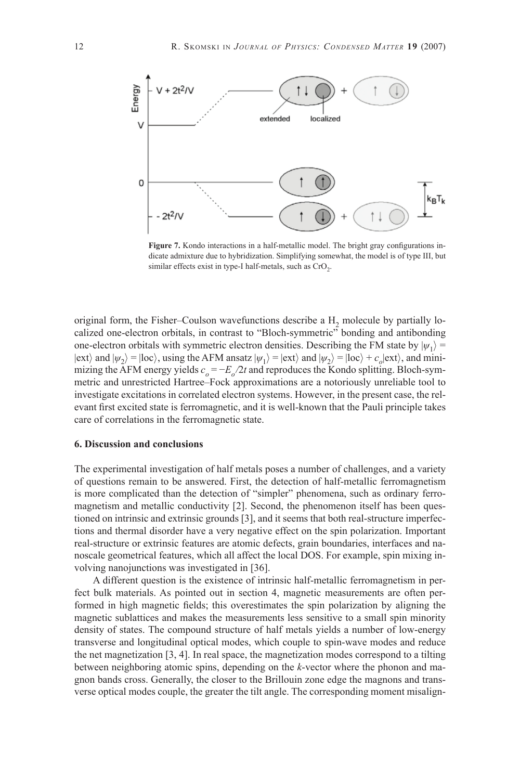

Figure 7. Kondo interactions in a half-metallic model. The bright gray configurations indicate admixture due to hybridization. Simplifying somewhat, the model is of type III, but similar effects exist in type-I half-metals, such as  $CrO<sub>2</sub>$ .

original form, the Fisher–Coulson wavefunctions describe a  $H<sub>2</sub>$  molecule by partially localized one-electron orbitals, in contrast to "Bloch-symmetric" bonding and antibonding one-electron orbitals with symmetric electron densities. Describing the FM state by  $|\psi_1\rangle$  =  $|ext\rangle$  and  $|\psi_2\rangle = |loc\rangle$ , using the AFM ansatz  $|\psi_1\rangle = |ext\rangle$  and  $|\psi_2\rangle = |loc\rangle + c_o|ext\rangle$ , and minimizing the AFM energy yields  $c<sub>o</sub> = -E<sub>o</sub>/2t$  and reproduces the Kondo splitting. Bloch-symmetric and unrestricted Hartree–Fock approximations are a notoriously unreliable tool to investigate excitations in correlated electron systems. However, in the present case, the relevant first excited state is ferromagnetic, and it is well-known that the Pauli principle takes care of correlations in the ferromagnetic state.

#### **6. Discussion and conclusions**

The experimental investigation of half metals poses a number of challenges, and a variety of questions remain to be answered. First, the detection of half-metallic ferromagnetism is more complicated than the detection of "simpler" phenomena, such as ordinary ferromagnetism and metallic conductivity [2]. Second, the phenomenon itself has been questioned on intrinsic and extrinsic grounds [3], and it seems that both real-structure imperfections and thermal disorder have a very negative effect on the spin polarization. Important real-structure or extrinsic features are atomic defects, grain boundaries, interfaces and nanoscale geometrical features, which all affect the local DOS. For example, spin mixing involving nanojunctions was investigated in [36].

A different question is the existence of intrinsic half-metallic ferromagnetism in perfect bulk materials. As pointed out in section 4, magnetic measurements are often performed in high magnetic fields; this overestimates the spin polarization by aligning the magnetic sublattices and makes the measurements less sensitive to a small spin minority density of states. The compound structure of half metals yields a number of low-energy transverse and longitudinal optical modes, which couple to spin-wave modes and reduce the net magnetization [3, 4]. In real space, the magnetization modes correspond to a tilting between neighboring atomic spins, depending on the *k*-vector where the phonon and magnon bands cross. Generally, the closer to the Brillouin zone edge the magnons and transverse optical modes couple, the greater the tilt angle. The corresponding moment misalign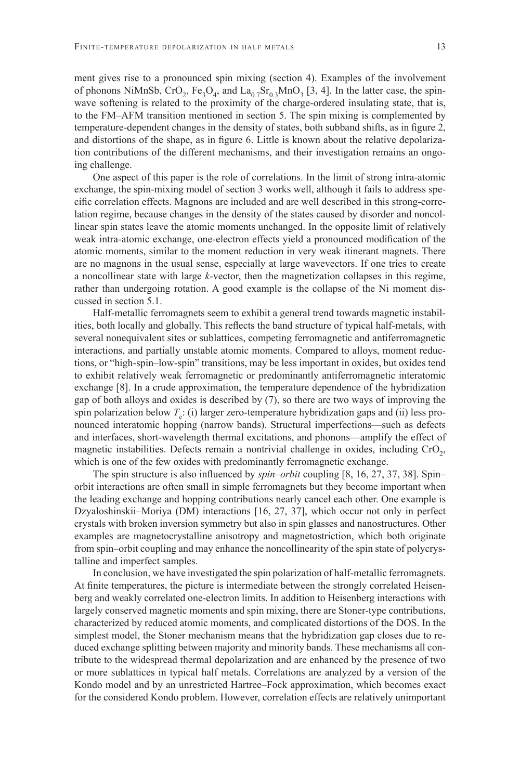ment gives rise to a pronounced spin mixing (section 4). Examples of the involvement of phonons NiMnSb,  $CrO_2$ , Fe<sub>3</sub>O<sub>4</sub>, and La<sub>0.7</sub>Sr<sub>0.3</sub>MnO<sub>3</sub> [3, 4]. In the latter case, the spinwave softening is related to the proximity of the charge-ordered insulating state, that is, to the FM–AFM transition mentioned in section 5. The spin mixing is complemented by temperature-dependent changes in the density of states, both subband shifts, as in figure 2, and distortions of the shape, as in figure 6. Little is known about the relative depolarization contributions of the different mechanisms, and their investigation remains an ongoing challenge.

One aspect of this paper is the role of correlations. In the limit of strong intra-atomic exchange, the spin-mixing model of section 3 works well, although it fails to address specific correlation effects. Magnons are included and are well described in this strong-correlation regime, because changes in the density of the states caused by disorder and noncollinear spin states leave the atomic moments unchanged. In the opposite limit of relatively weak intra-atomic exchange, one-electron effects yield a pronounced modification of the atomic moments, similar to the moment reduction in very weak itinerant magnets. There are no magnons in the usual sense, especially at large wavevectors. If one tries to create a noncollinear state with large *k*-vector, then the magnetization collapses in this regime, rather than undergoing rotation. A good example is the collapse of the Ni moment discussed in section 5.1.

Half-metallic ferromagnets seem to exhibit a general trend towards magnetic instabilities, both locally and globally. This reflects the band structure of typical half-metals, with several nonequivalent sites or sublattices, competing ferromagnetic and antiferromagnetic interactions, and partially unstable atomic moments. Compared to alloys, moment reductions, or "high-spin–low-spin" transitions, may be less important in oxides, but oxides tend to exhibit relatively weak ferromagnetic or predominantly antiferromagnetic interatomic exchange [8]. In a crude approximation, the temperature dependence of the hybridization gap of both alloys and oxides is described by (7), so there are two ways of improving the spin polarization below  $T_c$ : (i) larger zero-temperature hybridization gaps and (ii) less pronounced interatomic hopping (narrow bands). Structural imperfections—such as defects and interfaces, short-wavelength thermal excitations, and phonons—amplify the effect of magnetic instabilities. Defects remain a nontrivial challenge in oxides, including  $CrO<sub>2</sub>$ , which is one of the few oxides with predominantly ferromagnetic exchange.

The spin structure is also influenced by *spin–orbit* coupling [8, 16, 27, 37, 38]. Spin– orbit interactions are often small in simple ferromagnets but they become important when the leading exchange and hopping contributions nearly cancel each other. One example is Dzyaloshinskii–Moriya (DM) interactions [16, 27, 37], which occur not only in perfect crystals with broken inversion symmetry but also in spin glasses and nanostructures. Other examples are magnetocrystalline anisotropy and magnetostriction, which both originate from spin–orbit coupling and may enhance the noncollinearity of the spin state of polycrystalline and imperfect samples.

In conclusion, we have investigated the spin polarization of half-metallic ferromagnets. At finite temperatures, the picture is intermediate between the strongly correlated Heisenberg and weakly correlated one-electron limits. In addition to Heisenberg interactions with largely conserved magnetic moments and spin mixing, there are Stoner-type contributions, characterized by reduced atomic moments, and complicated distortions of the DOS. In the simplest model, the Stoner mechanism means that the hybridization gap closes due to reduced exchange splitting between majority and minority bands. These mechanisms all contribute to the widespread thermal depolarization and are enhanced by the presence of two or more sublattices in typical half metals. Correlations are analyzed by a version of the Kondo model and by an unrestricted Hartree–Fock approximation, which becomes exact for the considered Kondo problem. However, correlation effects are relatively unimportant